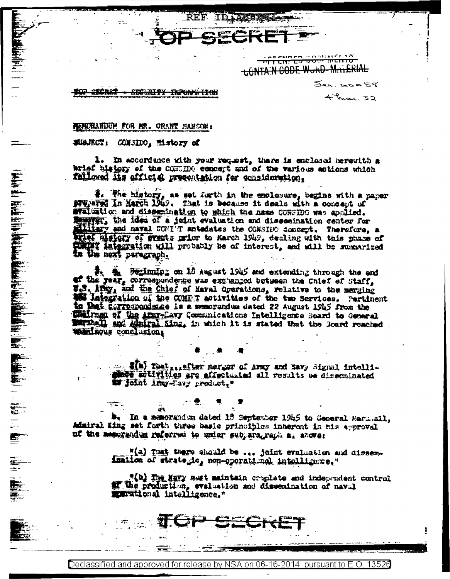ना सारम्य प्रेर<sup>्</sup> **LONTA:N CODE WORD MATERIAL** 

> $54, 50058$  $4 - \frac{2}{3}$

**SECRET SECALLY DIPONS TRAI** 

## HERORANDUM FOR MR. ORANT HAMSON:

## Subject, CONSIDO, Mistory of

a stanie politika.<br>Politika

"他们的情况"

y.<br>C

 $\frac{1}{\pi}$ 

É.

E.

1. In accordance with your request, there is enclosed mercuith a brief history of the COMMON concept and of the various actions which followed its efficial presentation for consideration.

REF ID ACCRES

#. The history, as set furth in the enclosure, begins with a paper swepared In March 1949. That is because it deals with a concent of evaluation and dissemination to shigh the name CONSIDO was applied. Engrat, the idea of a jeint evaluation and dissemination center for allitary and naval COVI'T antedates the CONSIDO concept. Therefore, a wiel history of weathe prior to Harch 1949, dealing with this phase of **COMPT integration will probably be of interest, and will be summarized** In the next paragraph.

the Bullming on 13 segret 1945 and extending through the end of the year, correspondence was exchanged between the Chief of Staff, W.S. Avey, and the Chief of Haval Operations, relative to the merging **EE laiggration of the CONDT metivities of the two Services.** Pertinent to that Eurrespondence is a memorandum dated 22 August 1945 from the Sulfrage of the Afar-Eavy Communications Intelligence Soard to General and Afairal King, in which it is stated that the Soard reached. Whiteous conclusion;

> stor with the are effectanted all results be disseminated 17 Joint Liny-Havy product,"

In a memorandum dated 16 September 1945 to General Mars.all, Admiral King set forth three basic principles inherent in his approval of the measurely referred to unior sublara, raph as above:

> "(a) That there should be ... joint evaluation and dissemination of strategic, non-operational intelligence."

"(b) The Mayy aust maintain couplate and independent control of the production, evaluation and dissemination of naval marational intolligence."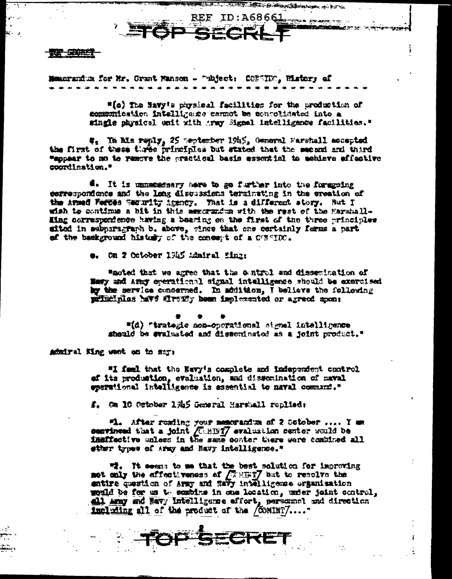天鹅一定的性气

Memorandus for Mr. Grant Manson - "whect: CONSING, Wistory of

"(c) The Savy's physical facilities for the production of communication intelligance cannot be achrolidated into a single physical unit with anny Signal Intelligence facilities."

**FRANCISCO MONTE DE L'ANNES DE L'ANNES** REF ID:  $A68661$ 

بتحضرين بروجون

#. In Mis reply, 25 weptember 19h5, General Farshall accepted the first of these three principles but stated that the second and third "supper to no to remove the practical basis essential to mehieve affective courdination."

4. It is unnemeasary hore to go further into the foregoing serrespondence and the long discussions terminating in the creation of the Armed Feftes Wearwity Arency. That is a different story. But I wish to continue a bit in this memorandum with the rest of the Harshall-King coxrespondence having a bearing on the first of the three principles sited in subparagraph b. above, gince that one cortainly forms a part of the background history of the concept of a CURNIC.

e. On 2 October 1945 Admiral Einz:

"noted that we agree that the entrol and dissentation of Wery and Army operational signal intelligence should be exercised by the service concerned. In addition, I believe the following principles have drewly been implemented or agreed upon:

"(d) "trategic non-operational signal intelligence sheald be evaluated and disseminated as a joint product."

Admiral King wort on to say:

"I feel that the Euvy's complete and independent control of its production, evaluation, and dissemination of naval operational intelligence is essential to naval command."

f. Om 10 October 1945 General Harshall replied:

"L. After resding your memoranium of 2 Sotober .... I am comvineed that a joint *[CEBI]* evaluation center would be instituctive unless in the same conter there were combined all sther types of army and Mavy intelligence."

哦. It seems to me that the best solution for improving mot saly the affectiveness of *[REET]* but to resolve the entire question of Army and Navy intelligence organisation would be for as to sembine in one location, unter joint control, all any and Ravy Intelligence effort, personnel and direction including all of the product of the /COMINT7....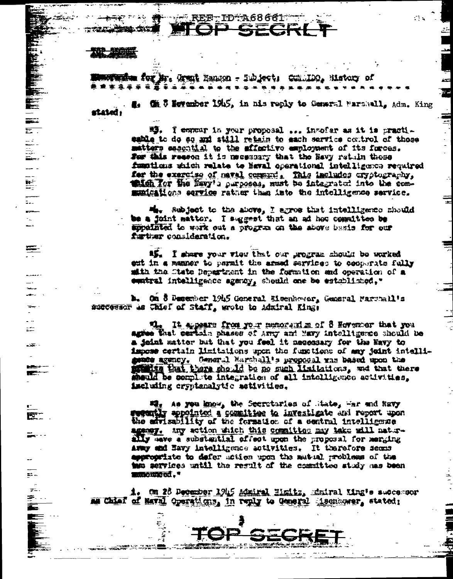**EF-ID:A68661\*** 

sa da bha iti

 $\overline{\Sigma}$  .

il<br>Ili

k.

 $\frac{1}{2}$ -

i<br>Li

**三·** 

 $\overline{a}$ 

L-Sec.

**TEXT** 

巴

 $E^* =$ 

 $\pm$ 

⇒.

mine for Mr. Grant Eanson - Subject: Comming, Mistory of

1. The 5 levenber 1945, in his reply to Comers1 Farshall, Adm. King rtated :

> 轉. I commur in your proposal ... invofar as it is practieable to do so and still retain to each sarvice control of those matters escontial to the affective employment of its furces. For this reseon it is meessary that the Ravy retuln these functions which relate to Heval operational intelligence required for the exercise of mavel community This includes cryptography, this for the favy's perposes, must be integrated into the communications equice rather than into the intelligence service.

 $M_{\text{H}\text{v}}$  subject to the above, I agree that intelligence should be a joint matter. I suggest that an ad how committee be speciated to wark out a program on the above basis for our further consideration.

15. I share your view that our grogram should be worked ent in a manner to parmit the armed services to cooperate fully mith the State Department in the formation and operation of a cuntral intelligence sgampy, should one be established, "

**b.** On 5 Desember 1945 General Meenhower, General Marchall's successor as Chief of Staff, wrote to Admiral King:

> It aggests from your memoranize of 8 However that you agies that certain phases of any and Havy intelligence should be a jeint matter but that you feel it necessary for the Havy to impose certain limitations upon the functions of any joint intelligende agency. General Magnhall's proposal was based upon the the that there should be no such limitations, we that there menid be complite integration of all intelligence activities, iscluding cryptanalytic activities.

under the you know, the Secretaries of State, war and havy wathy appointed a committee to investigate and report upon the advisability of the formation of a sentral intelligence agemy. Any action which this committee may hake will naturally save a substantial offect upon the proposal for merging Army and Havy intelligence activities. It therefore seems appropriate to defer union upon the matual problems of the to services until the result of the constitues study mas been **RAGOURO CO. "** 

i. Om 26 December 1945 Maniral Hamiltz, Maniral Ming's successor me Chief of Haval Operations, in reply to General incomerner, stated:

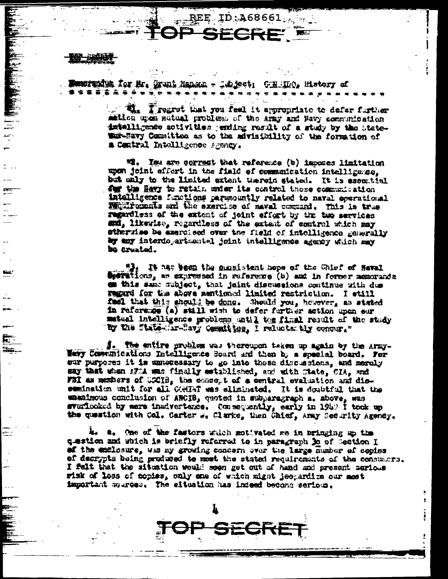$\pm$ 

**Nuotamin for Mr. (Funk Manach - Caldect: CHEIO), History af** . . . . . . . . .

> Treat that you feel it appropriate to defer further mation upon sutual problem of the army and Bavy communication intelligence sotivities (ending result of a study by the liatewas-Savy Committee as to the advisibility of the formation of a Contral Intelligence Agency.

 $ID: A68661...$ 

"I. Isu are correct that reference (b) imposes limitation upon joint effert in the field of communication intelligence. but only to the limited extent therein stated. It is essential for the Havy to retain exter its control those communation intelligence functions paramently related to naval eperational Milliponnis and the sxercise of maval command. This is true regardless of the extent of joint effort by the two services and, likewise, regardless of the extent of control which may etherulee be exercised over the field of intolligence generally by any interdepertsentel joint intelligence agency which may be arested.

It mas been the consistent hope of the Ghief of Heval dientions, as expressed in reference (b) and in former memorands em this same mubject, that joint discussions continue with due regard for the above mentioned limited restriction. I still fael that this should be done. Should you, however, as stated In reference (a) still with to defer further action upon eur matual intelligence problems until the final result of the study "by the State-Sr-Ravy Cementities, I relucted bly conqur."

i. The entire problem was thereupon taken up again by the Army-Wavy Communications Intelligence Soard and then by a special board. For our purposes it is unuecessary to go into those discussions, and merely say that when 17% was finally established, and with mate, CIA, and FBI as members of USCIB, the concept of a central evaluation and dissemination unit for all COMTAT was aliminated. It is doubtful that the unanimous conclusion of AWCIB, quoted in subparagraph a. shove, was svariooked by mere inadvertence. Consequently, early in 1949 I took up the question with Col. Carter w. Clarke, then Chief, Army Security Agency.

is a. One of the fastors which motivated me in bringing up the custion and which is briefly referred to in paragraph 30 of Section I ef the enclosure, was my growing concern over the large Humber of copies of decrypts being produced to most the stated requirements of the consumers. I felt that the situation would soon get out of hand and present serious wisk of loss of copies, only one of which might jeepardize our most important sources. The situation has indeed become serious.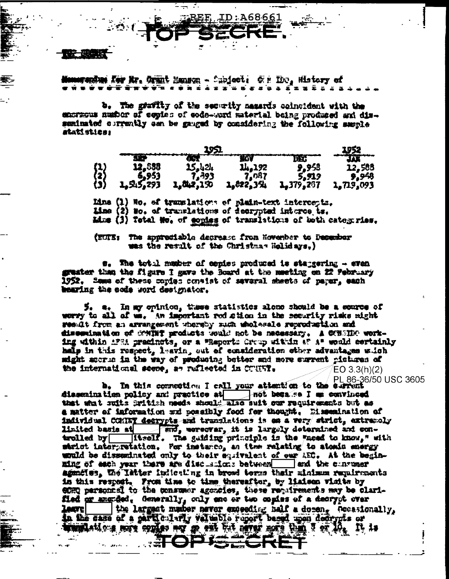## weedus fer Mr. Orant Manson - Choicet: G.r. Hot, History of . . . . . . . . . . . . . . . . . w <del>.</del> . . . .

ID:A68661

b. The grafity of the security masards coincident with the encricus number of easies of code-word material being produced and disseminated currently can be gauged by considering the following seemle atatistics:

|                   | 12,588    | 15,424    | 14,192     | 9,958     | 12,588    |
|-------------------|-----------|-----------|------------|-----------|-----------|
|                   | 6,953     | .393      | $\sqrt{2}$ | 5.919     | 9,948     |
| {1}<br>{2}<br>{3} | 1,545,293 | 1,842,150 | 1,822,354  | 1,379,207 | 1,719,093 |

Line (1) No. of translations of plain-text intercepts. Line (2) No. of translations of decrypted interce ts. Mis (3) Total Mo, of copies of translations of both categories,

(EUIE: The appreciable decrease from Howenber to December was the result of the Christmas Holidays.)

s, The total masher of copies produced is stangering - even granter than the figure I gave the Board at the meeting on 22 February 1952. Seme of these cories consist of several sheets of parer, each bearing the code word designator.

5. a. In my opinion, these statistics alone should be a source of werry to all of wm. An important rod ction in the security risks right result from an arrangement ubersby such unolessale reproduction and disconination of SMINT products would not be necessary. A CONSIDO working within 1731 pracincts, or a "Report: Croup within a" a" would certainly halp in this respect, leavin, out of consideration other advantages wich sight accrie in the way of producing better and nore surrent pictures of the international scene, as ruflected in COUST.  $EO 3.3(h)(2)$ 

PL 86-36/50 USC 3605

b. In this consection I call your attention to the elevent dissenination policy and practice at not begade I me convinced that what suits British meeds should also suit our requirements but as a matter of information and possibly food for thought. Eissemination of individual CONNET decrypts and translations is on a very strict, extracely trolled by itself. The guiding principle is the wheed to know," with whelet interpretation. For instance, an item relating to atomic energy would be disseminated only to their equivalent of our AEC. At the beginsad the curvaer ming of each year there are discussions between the agenčius, the latter indicating in broad terms thair minimum requirements in this respect. From time to time thereafter, by liaison visite by ente parachied to the consumer agencies, these requirements may be clarified or marded. Generally, only one or two copies of a decrypt over leave the largest matter never exceeding half a dozen, Genesionally, in the case of a particularly valuable report beand upon decrypts or program of the same and the same of the same of the rest of the second second that the rest of the second second **ALOPISECH**